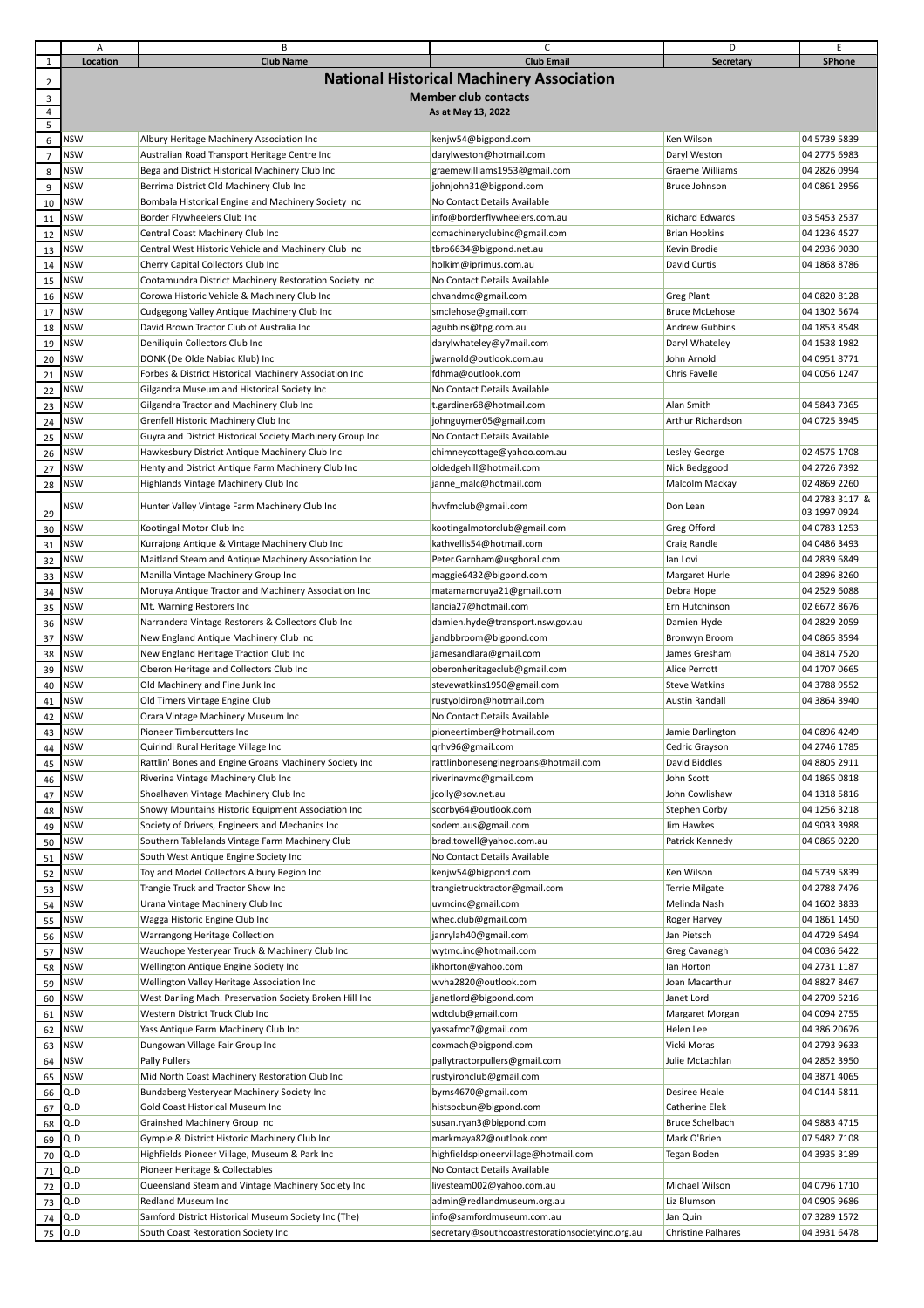|                         | А                           | B                                                         | C                                                | D                         | Ε              |  |  |
|-------------------------|-----------------------------|-----------------------------------------------------------|--------------------------------------------------|---------------------------|----------------|--|--|
| $\mathbf{1}$            | Location                    | <b>Club Name</b>                                          | <b>Club Email</b>                                | Secretary                 | SPhone         |  |  |
|                         |                             |                                                           | <b>National Historical Machinery Association</b> |                           |                |  |  |
| $\overline{2}$          |                             |                                                           |                                                  |                           |                |  |  |
| $\overline{\mathbf{3}}$ | <b>Member club contacts</b> |                                                           |                                                  |                           |                |  |  |
| 4<br>5                  |                             |                                                           | As at May 13, 2022                               |                           |                |  |  |
|                         | <b>NSW</b>                  |                                                           |                                                  | Ken Wilson                | 04 5739 5839   |  |  |
| $\,6\,$                 |                             | Albury Heritage Machinery Association Inc                 | kenjw54@bigpond.com                              |                           |                |  |  |
| $\overline{7}$          | <b>NSW</b>                  | Australian Road Transport Heritage Centre Inc             | darylweston@hotmail.com                          | Daryl Weston              | 04 2775 6983   |  |  |
| 8                       | <b>NSW</b>                  | Bega and District Historical Machinery Club Inc           | graemewilliams1953@gmail.com                     | Graeme Williams           | 04 2826 0994   |  |  |
| 9                       | <b>NSW</b>                  | Berrima District Old Machinery Club Inc                   | johnjohn31@bigpond.com                           | Bruce Johnson             | 04 0861 2956   |  |  |
| 10                      | <b>NSW</b>                  | Bombala Historical Engine and Machinery Society Inc       | No Contact Details Available                     |                           |                |  |  |
| 11                      | <b>NSW</b>                  | Border Flywheelers Club Inc                               | info@borderflywheelers.com.au                    | Richard Edwards           | 03 5453 2537   |  |  |
| 12                      | <b>NSW</b>                  | Central Coast Machinery Club Inc                          | ccmachineryclubinc@gmail.com                     | <b>Brian Hopkins</b>      | 04 1236 4527   |  |  |
| 13                      | <b>NSW</b>                  | Central West Historic Vehicle and Machinery Club Inc      | tbro6634@bigpond.net.au                          | Kevin Brodie              | 04 2936 9030   |  |  |
|                         | <b>NSW</b>                  | Cherry Capital Collectors Club Inc                        | holkim@iprimus.com.au                            | David Curtis              | 04 1868 8786   |  |  |
| 14                      |                             |                                                           |                                                  |                           |                |  |  |
| 15                      | <b>NSW</b>                  | Cootamundra District Machinery Restoration Society Inc    | No Contact Details Available                     |                           |                |  |  |
| 16                      | <b>NSW</b>                  | Corowa Historic Vehicle & Machinery Club Inc              | chvandmc@gmail.com                               | <b>Greg Plant</b>         | 04 0820 8128   |  |  |
| 17                      | <b>NSW</b>                  | Cudgegong Valley Antique Machinery Club Inc               | smclehose@gmail.com                              | <b>Bruce McLehose</b>     | 04 1302 5674   |  |  |
| 18                      | <b>NSW</b>                  | David Brown Tractor Club of Australia Inc                 | agubbins@tpg.com.au                              | <b>Andrew Gubbins</b>     | 04 1853 8548   |  |  |
| 19                      | <b>NSW</b>                  | Deniliquin Collectors Club Inc                            | darylwhateley@y7mail.com                         | Daryl Whateley            | 04 1538 1982   |  |  |
| 20                      | <b>NSW</b>                  | DONK (De Olde Nabiac Klub) Inc                            | jwarnold@outlook.com.au                          | John Arnold               | 04 0951 8771   |  |  |
| 21                      | <b>NSW</b>                  | Forbes & District Historical Machinery Association Inc    | fdhma@outlook.com                                | Chris Favelle             | 04 0056 1247   |  |  |
| 22                      | <b>NSW</b>                  | Gilgandra Museum and Historical Society Inc               | No Contact Details Available                     |                           |                |  |  |
|                         | <b>NSW</b>                  | Gilgandra Tractor and Machinery Club Inc                  | t.gardiner68@hotmail.com                         | Alan Smith                | 04 5843 7365   |  |  |
| 23                      |                             |                                                           |                                                  |                           |                |  |  |
| 24                      | <b>NSW</b>                  | Grenfell Historic Machinery Club Inc                      | johnguymer05@gmail.com                           | Arthur Richardson         | 04 0725 3945   |  |  |
| 25                      | <b>NSW</b>                  | Guyra and District Historical Society Machinery Group Inc | No Contact Details Available                     |                           |                |  |  |
| 26                      | <b>NSW</b>                  | Hawkesbury District Antique Machinery Club Inc            | chimneycottage@yahoo.com.au                      | Lesley George             | 02 4575 1708   |  |  |
| 27                      | <b>NSW</b>                  | Henty and District Antique Farm Machinery Club Inc        | oldedgehill@hotmail.com                          | Nick Bedggood             | 04 2726 7392   |  |  |
| 28                      | <b>NSW</b>                  | Highlands Vintage Machinery Club Inc                      | janne malc@hotmail.com                           | Malcolm Mackay            | 02 4869 2260   |  |  |
|                         |                             |                                                           |                                                  |                           | 04 2783 3117 & |  |  |
| 29                      | NSW                         | Hunter Valley Vintage Farm Machinery Club Inc             | hvvfmclub@gmail.com                              | Don Lean                  | 03 1997 0924   |  |  |
| 30                      | <b>NSW</b>                  | Kootingal Motor Club Inc                                  | kootingalmotorclub@gmail.com                     | Greg Offord               | 04 0783 1253   |  |  |
| 31                      | <b>NSW</b>                  | Kurrajong Antique & Vintage Machinery Club Inc            | kathyellis54@hotmail.com                         | Craig Randle              | 04 0486 3493   |  |  |
| 32                      | <b>NSW</b>                  | Maitland Steam and Antique Machinery Association Inc      | Peter.Garnham@usgboral.com                       | lan Lovi                  | 04 2839 6849   |  |  |
|                         | <b>NSW</b>                  | Manilla Vintage Machinery Group Inc                       | maggie6432@bigpond.com                           | Margaret Hurle            | 04 2896 8260   |  |  |
| 33                      |                             |                                                           |                                                  |                           |                |  |  |
| 34                      | <b>NSW</b>                  | Moruya Antique Tractor and Machinery Association Inc      | matamamoruya21@gmail.com                         | Debra Hope                | 04 2529 6088   |  |  |
| 35                      | <b>NSW</b>                  | Mt. Warning Restorers Inc                                 | lancia27@hotmail.com                             | Ern Hutchinson            | 02 6672 8676   |  |  |
| 36                      | <b>NSW</b>                  | Narrandera Vintage Restorers & Collectors Club Inc        | damien.hyde@transport.nsw.gov.au                 | Damien Hyde               | 04 2829 2059   |  |  |
| 37                      | <b>NSW</b>                  | New England Antique Machinery Club Inc                    | jandbbroom@bigpond.com                           | Bronwyn Broom             | 04 0865 8594   |  |  |
| 38                      | <b>NSW</b>                  | New England Heritage Traction Club Inc                    | jamesandlara@gmail.com                           | James Gresham             | 04 3814 7520   |  |  |
| 39                      | <b>NSW</b>                  | Oberon Heritage and Collectors Club Inc                   | oberonheritageclub@gmail.com                     | Alice Perrott             | 04 1707 0665   |  |  |
| 40                      | <b>NSW</b>                  | Old Machinery and Fine Junk Inc                           | stevewatkins1950@gmail.com                       | <b>Steve Watkins</b>      | 04 3788 9552   |  |  |
| 41                      | <b>NSW</b>                  | Old Timers Vintage Engine Club                            | rustyoldiron@hotmail.com                         | <b>Austin Randall</b>     | 04 3864 3940   |  |  |
|                         | <b>NSW</b>                  |                                                           | No Contact Details Available                     |                           |                |  |  |
| 42                      |                             | Orara Vintage Machinery Museum Inc                        |                                                  |                           |                |  |  |
| 43                      | <b>NSW</b>                  | Pioneer Timbercutters Inc                                 | pioneertimber@hotmail.com                        | Jamie Darlington          | 04 0896 4249   |  |  |
| 44                      | <b>NSW</b>                  | Quirindi Rural Heritage Village Inc                       | qrhv96@gmail.com                                 | Cedric Grayson            | 04 2746 1785   |  |  |
| 45                      | <b>NSW</b>                  | Rattlin' Bones and Engine Groans Machinery Society Inc    | rattlinbonesenginegroans@hotmail.com             | David Biddles             | 04 8805 2911   |  |  |
| 46                      | <b>NSW</b>                  | Riverina Vintage Machinery Club Inc                       | riverinavmc@gmail.com                            | John Scott                | 04 1865 0818   |  |  |
| 47                      | <b>NSW</b>                  | Shoalhaven Vintage Machinery Club Inc                     | jcolly@sov.net.au                                | John Cowlishaw            | 04 1318 5816   |  |  |
| 48                      | <b>NSW</b>                  | Snowy Mountains Historic Equipment Association Inc        | scorby64@outlook.com                             | Stephen Corby             | 04 1256 3218   |  |  |
| 49                      | <b>NSW</b>                  | Society of Drivers, Engineers and Mechanics Inc.          | sodem.aus@gmail.com                              | Jim Hawkes                | 04 9033 3988   |  |  |
| 50                      | <b>NSW</b>                  | Southern Tablelands Vintage Farm Machinery Club           | brad.towell@yahoo.com.au                         | Patrick Kennedy           | 04 0865 0220   |  |  |
|                         | <b>NSW</b>                  |                                                           | No Contact Details Available                     |                           |                |  |  |
| 51                      |                             | South West Antique Engine Society Inc                     |                                                  |                           |                |  |  |
| 52                      | <b>NSW</b>                  | Toy and Model Collectors Albury Region Inc                | kenjw54@bigpond.com                              | Ken Wilson                | 04 5739 5839   |  |  |
| 53                      | <b>NSW</b>                  | Trangie Truck and Tractor Show Inc                        | trangietrucktractor@gmail.com                    | <b>Terrie Milgate</b>     | 04 2788 7476   |  |  |
| 54                      | <b>NSW</b>                  | Urana Vintage Machinery Club Inc                          | uvmcinc@gmail.com                                | Melinda Nash              | 04 1602 3833   |  |  |
| 55                      | <b>NSW</b>                  | Wagga Historic Engine Club Inc                            | whec.club@gmail.com                              | Roger Harvey              | 04 1861 1450   |  |  |
| 56                      | <b>NSW</b>                  | Warrangong Heritage Collection                            | janrylah40@gmail.com                             | Jan Pietsch               | 04 4729 6494   |  |  |
| 57                      | <b>NSW</b>                  | Wauchope Yesteryear Truck & Machinery Club Inc            | wytmc.inc@hotmail.com                            | Greg Cavanagh             | 04 0036 6422   |  |  |
| 58                      | <b>NSW</b>                  | Wellington Antique Engine Society Inc                     | ikhorton@yahoo.com                               | Ian Horton                | 04 2731 1187   |  |  |
|                         | <b>NSW</b>                  | Wellington Valley Heritage Association Inc                | wvha2820@outlook.com                             | Joan Macarthur            | 04 8827 8467   |  |  |
| 59                      |                             |                                                           |                                                  |                           |                |  |  |
| 60                      | <b>NSW</b>                  | West Darling Mach. Preservation Society Broken Hill Inc   | janetlord@bigpond.com                            | Janet Lord                | 04 2709 5216   |  |  |
| 61                      | <b>NSW</b>                  | Western District Truck Club Inc                           | wdtclub@gmail.com                                | Margaret Morgan           | 04 0094 2755   |  |  |
| 62                      | <b>NSW</b>                  | Yass Antique Farm Machinery Club Inc                      | yassafmc7@gmail.com                              | Helen Lee                 | 04 386 20676   |  |  |
| 63                      | <b>NSW</b>                  | Dungowan Village Fair Group Inc                           | coxmach@bigpond.com                              | Vicki Moras               | 04 2793 9633   |  |  |
| 64                      | <b>NSW</b>                  | Pally Pullers                                             | pallytractorpullers@gmail.com                    | Julie McLachlan           | 04 2852 3950   |  |  |
| 65                      | <b>NSW</b>                  | Mid North Coast Machinery Restoration Club Inc            | rustyironclub@gmail.com                          |                           | 04 3871 4065   |  |  |
| 66                      | QLD                         | Bundaberg Yesteryear Machinery Society Inc                | byms4670@gmail.com                               | Desiree Heale             | 04 0144 5811   |  |  |
|                         | QLD                         | Gold Coast Historical Museum Inc                          | histsocbun@bigpond.com                           | Catherine Elek            |                |  |  |
| 67                      |                             |                                                           |                                                  |                           |                |  |  |
| 68                      | QLD                         | Grainshed Machinery Group Inc                             | susan.ryan3@bigpond.com                          | <b>Bruce Schelbach</b>    | 04 9883 4715   |  |  |
| 69                      | QLD                         | Gympie & District Historic Machinery Club Inc             | markmaya82@outlook.com                           | Mark O'Brien              | 07 5482 7108   |  |  |
| 70                      | QLD                         | Highfields Pioneer Village, Museum & Park Inc             | highfieldspioneervillage@hotmail.com             | Tegan Boden               | 04 3935 3189   |  |  |
| 71                      | QLD                         | Pioneer Heritage & Collectables                           | No Contact Details Available                     |                           |                |  |  |
| 72                      | QLD                         | Queensland Steam and Vintage Machinery Society Inc        | livesteam002@yahoo.com.au                        | Michael Wilson            | 04 0796 1710   |  |  |
| 73                      | QLD                         | Redland Museum Inc                                        | admin@redlandmuseum.org.au                       | Liz Blumson               | 04 0905 9686   |  |  |
| 74                      | QLD                         | Samford District Historical Museum Society Inc (The)      | info@samfordmuseum.com.au                        | Jan Quin                  | 07 3289 1572   |  |  |
| 75                      | QLD                         | South Coast Restoration Society Inc                       | secretary@southcoastrestorationsocietyinc.org.au | <b>Christine Palhares</b> | 04 3931 6478   |  |  |
|                         |                             |                                                           |                                                  |                           |                |  |  |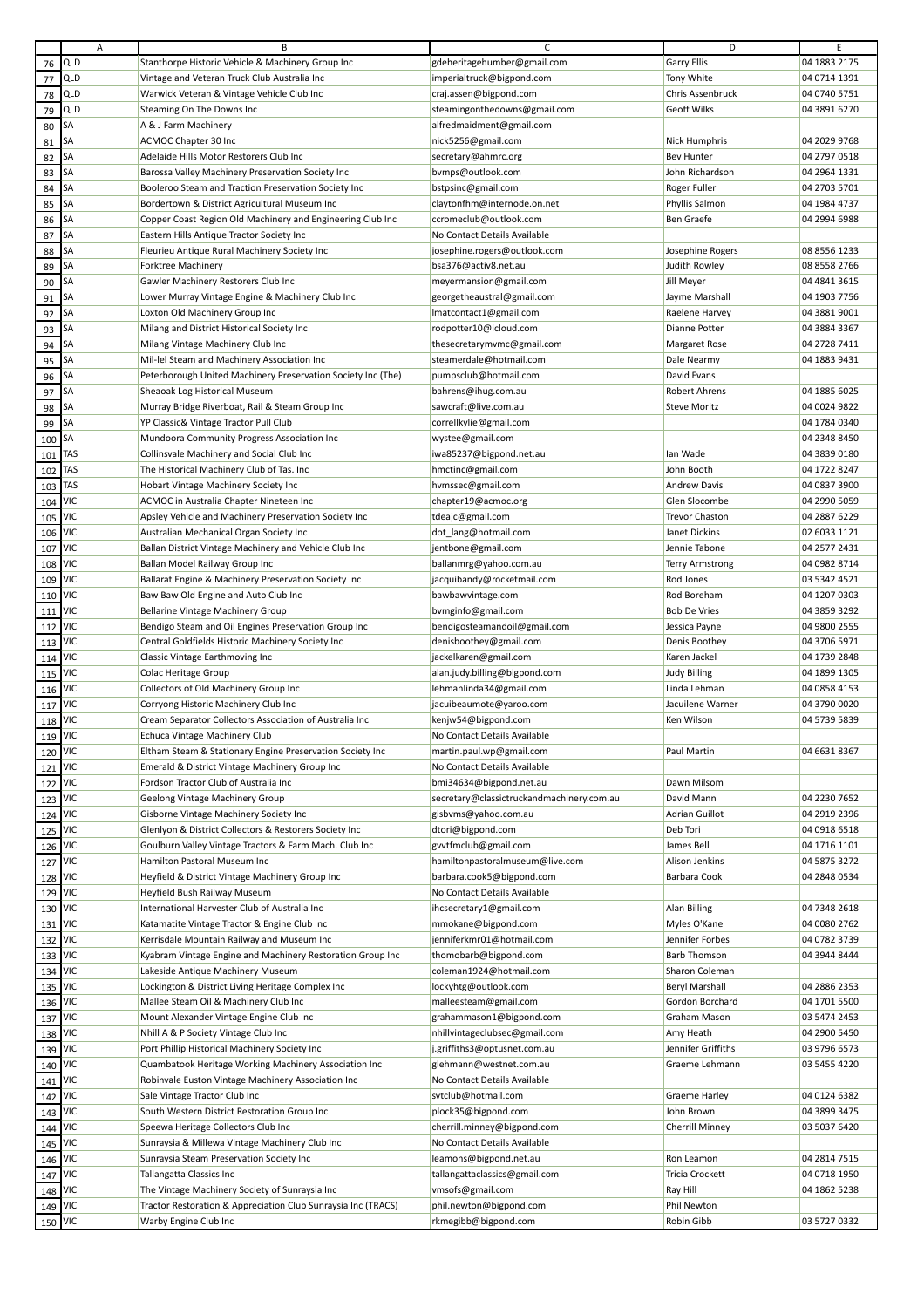|         | Α          | В                                                             | с                                         | D                     | E            |
|---------|------------|---------------------------------------------------------------|-------------------------------------------|-----------------------|--------------|
| 76      | QLD        | Stanthorpe Historic Vehicle & Machinery Group Inc             | gdeheritagehumber@gmail.com               | <b>Garry Ellis</b>    | 04 1883 2175 |
| 77      | QLD        | Vintage and Veteran Truck Club Australia Inc                  | imperialtruck@bigpond.com                 | Tony White            | 04 0714 1391 |
|         | QLD        | Warwick Veteran & Vintage Vehicle Club Inc                    |                                           | Chris Assenbruck      | 04 0740 5751 |
| 78      |            |                                                               | craj.assen@bigpond.com                    |                       |              |
| 79      | QLD        | Steaming On The Downs Inc                                     | steamingonthedowns@gmail.com              | Geoff Wilks           | 04 3891 6270 |
| 80      | SA         | A & J Farm Machinery                                          | alfredmaidment@gmail.com                  |                       |              |
| 81      | SA         | ACMOC Chapter 30 Inc                                          | nick5256@gmail.com                        | <b>Nick Humphris</b>  | 04 2029 9768 |
| 82      | SA         | Adelaide Hills Motor Restorers Club Inc                       | secretary@ahmrc.org                       | <b>Bev Hunter</b>     | 04 2797 0518 |
|         | SA         |                                                               |                                           | John Richardson       | 04 2964 1331 |
| 83      |            | Barossa Valley Machinery Preservation Society Inc             | bvmps@outlook.com                         |                       |              |
| 84      | SA         | Booleroo Steam and Traction Preservation Society Inc          | bstpsinc@gmail.com                        | Roger Fuller          | 04 2703 5701 |
| 85      | SA         | Bordertown & District Agricultural Museum Inc                 | claytonfhm@internode.on.net               | Phyllis Salmon        | 04 1984 4737 |
| 86      | SA         | Copper Coast Region Old Machinery and Engineering Club Inc    | ccromeclub@outlook.com                    | <b>Ben Graefe</b>     | 04 2994 6988 |
| 87      | SA         | Eastern Hills Antique Tractor Society Inc                     | No Contact Details Available              |                       |              |
|         |            |                                                               |                                           |                       |              |
| 88      | <b>SA</b>  | Fleurieu Antique Rural Machinery Society Inc                  | josephine.rogers@outlook.com              | Josephine Rogers      | 08 8556 1233 |
| 89      | SА         | Forktree Machinery                                            | bsa376@activ8.net.au                      | Judith Rowley         | 08 8558 2766 |
| 90      | SA         | Gawler Machinery Restorers Club Inc                           | meyermansion@gmail.com                    | Jill Meyer            | 04 4841 3615 |
| 91      | <b>SA</b>  | Lower Murray Vintage Engine & Machinery Club Inc              | georgetheaustral@gmail.com                | Jayme Marshall        | 04 1903 7756 |
| 92      | SА         | Loxton Old Machinery Group Inc                                | lmatcontact1@gmail.com                    | Raelene Harvey        | 04 3881 9001 |
|         |            |                                                               |                                           |                       |              |
| 93      | SA         | Milang and District Historical Society Inc                    | rodpotter10@icloud.com                    | Dianne Potter         | 04 3884 3367 |
| 94      | SА         | Milang Vintage Machinery Club Inc                             | thesecretarymvmc@gmail.com                | <b>Margaret Rose</b>  | 04 2728 7411 |
| 95      | SA         | Mil-lel Steam and Machinery Association Inc                   | steamerdale@hotmail.com                   | Dale Nearmy           | 04 1883 9431 |
| 96      | SA         | Peterborough United Machinery Preservation Society Inc (The)  | pumpsclub@hotmail.com                     | David Evans           |              |
|         | SA         | Sheaoak Log Historical Museum                                 |                                           | <b>Robert Ahrens</b>  | 04 1885 6025 |
| 97      |            |                                                               | bahrens@ihug.com.au                       |                       |              |
| 98      | SA         | Murray Bridge Riverboat, Rail & Steam Group Inc               | sawcraft@live.com.au                      | <b>Steve Moritz</b>   | 04 0024 9822 |
| 99      | SA         | YP Classic& Vintage Tractor Pull Club                         | correllkylie@gmail.com                    |                       | 04 1784 0340 |
| 100     | SA         | Mundoora Community Progress Association Inc                   | wystee@gmail.com                          |                       | 04 2348 8450 |
| 101     | TAS        | Collinsvale Machinery and Social Club Inc                     | iwa85237@bigpond.net.au                   | lan Wade              | 04 3839 0180 |
|         | TAS        |                                                               |                                           | John Booth            | 04 1722 8247 |
| 102     |            | The Historical Machinery Club of Tas. Inc                     | hmctinc@gmail.com                         |                       |              |
| 103     | TAS        | Hobart Vintage Machinery Society Inc                          | hvmssec@gmail.com                         | <b>Andrew Davis</b>   | 04 0837 3900 |
| 104     | VIC        | ACMOC in Australia Chapter Nineteen Inc                       | chapter19@acmoc.org                       | Glen Slocombe         | 04 2990 5059 |
| 105     | VIC        | Apsley Vehicle and Machinery Preservation Society Inc         | tdeajc@gmail.com                          | <b>Trevor Chaston</b> | 04 2887 6229 |
| 106     | <b>VIC</b> | Australian Mechanical Organ Society Inc                       | dot_lang@hotmail.com                      | Janet Dickins         | 02 6033 1121 |
|         | VIC        |                                                               |                                           |                       | 04 2577 2431 |
| 107     |            | Ballan District Vintage Machinery and Vehicle Club Inc        | jentbone@gmail.com                        | Jennie Tabone         |              |
| 108     | <b>VIC</b> | Ballan Model Railway Group Inc                                | ballanmrg@yahoo.com.au                    | Terry Armstrong       | 04 0982 8714 |
| 109     | VIC        | Ballarat Engine & Machinery Preservation Society Inc          | jacquibandy@rocketmail.com                | Rod Jones             | 03 5342 4521 |
| 110     | VIC        | Baw Baw Old Engine and Auto Club Inc                          | bawbawvintage.com                         | Rod Boreham           | 04 1207 0303 |
| 111     | <b>VIC</b> | Bellarine Vintage Machinery Group                             | bvmginfo@gmail.com                        | <b>Bob De Vries</b>   | 04 3859 3292 |
|         | VIC        |                                                               |                                           |                       | 04 9800 2555 |
| 112     |            | Bendigo Steam and Oil Engines Preservation Group Inc          | bendigosteamandoil@gmail.com              | Jessica Payne         |              |
| 113     | VIC        | Central Goldfields Historic Machinery Society Inc             | denisboothey@gmail.com                    | Denis Boothey         | 04 3706 5971 |
| 114     | VIC        | Classic Vintage Earthmoving Inc                               | jackelkaren@gmail.com                     | Karen Jackel          | 04 1739 2848 |
| 115     | <b>VIC</b> | Colac Heritage Group                                          | alan.judy.billing@bigpond.com             | <b>Judy Billing</b>   | 04 1899 1305 |
| 116     | VIC        | Collectors of Old Machinery Group Inc                         | lehmanlinda34@gmail.com                   | Linda Lehman          | 04 0858 4153 |
|         | VIC        |                                                               |                                           | Jacuilene Warner      | 04 3790 0020 |
| 117     |            | Corryong Historic Machinery Club Inc                          | jacuibeaumote@yaroo.com                   |                       |              |
| 118     | <b>VIC</b> | Cream Separator Collectors Association of Australia Inc       | kenjw54@bigpond.com                       | Ken Wilson            | 04 5739 5839 |
| 119     | <b>VIC</b> | Echuca Vintage Machinery Club                                 | No Contact Details Available              |                       |              |
| 120 VIC |            | Eltham Steam & Stationary Engine Preservation Society Inc     | martin.paul.wp@gmail.com                  | Paul Martin           | 04 6631 8367 |
| 121     | VIC        | Emerald & District Vintage Machinery Group Inc                | No Contact Details Available              |                       |              |
|         | <b>VIC</b> | Fordson Tractor Club of Australia Inc                         | bmi34634@bigpond.net.au                   | Dawn Milsom           |              |
| 122     |            |                                                               |                                           |                       |              |
| 123 VIC |            | Geelong Vintage Machinery Group                               | secretary@classictruckandmachinery.com.au | David Mann            | 04 2230 7652 |
| 124     | <b>VIC</b> | Gisborne Vintage Machinery Society Inc                        | gisbvms@yahoo.com.au                      | Adrian Guillot        | 04 2919 2396 |
| 125     | <b>VIC</b> | Glenlyon & District Collectors & Restorers Society Inc        | dtori@bigpond.com                         | Deb Tori              | 04 0918 6518 |
| 126 VIC |            | Goulburn Valley Vintage Tractors & Farm Mach. Club Inc        | gvvtfmclub@gmail.com                      | James Bell            | 04 1716 1101 |
| 127     | <b>VIC</b> | Hamilton Pastoral Museum Inc                                  | hamiltonpastoralmuseum@live.com           | Alison Jenkins        | 04 5875 3272 |
|         | <b>VIC</b> | Heyfield & District Vintage Machinery Group Inc               | barbara.cook5@bigpond.com                 | Barbara Cook          | 04 2848 0534 |
| 128     |            |                                                               |                                           |                       |              |
| 129 VIC |            | Heyfield Bush Railway Museum                                  | No Contact Details Available              |                       |              |
| 130     | <b>VIC</b> | International Harvester Club of Australia Inc                 | ihcsecretary1@gmail.com                   | Alan Billing          | 04 7348 2618 |
| 131     | VIC        | Katamatite Vintage Tractor & Engine Club Inc                  | mmokane@bigpond.com                       | Myles O'Kane          | 04 0080 2762 |
| 132 VIC |            | Kerrisdale Mountain Railway and Museum Inc                    | jenniferkmr01@hotmail.com                 | Jennifer Forbes       | 04 0782 3739 |
| 133     | <b>VIC</b> | Kyabram Vintage Engine and Machinery Restoration Group Inc    | thomobarb@bigpond.com                     | <b>Barb Thomson</b>   | 04 3944 8444 |
|         |            |                                                               |                                           |                       |              |
| 134     | <b>VIC</b> | Lakeside Antique Machinery Museum                             | coleman1924@hotmail.com                   | Sharon Coleman        |              |
| 135 VIC |            | Lockington & District Living Heritage Complex Inc             | lockyhtg@outlook.com                      | <b>Beryl Marshall</b> | 04 2886 2353 |
| 136 VIC |            | Mallee Steam Oil & Machinery Club Inc                         | malleesteam@gmail.com                     | Gordon Borchard       | 04 1701 5500 |
| 137     | VIC        | Mount Alexander Vintage Engine Club Inc                       | grahammason1@bigpond.com                  | Graham Mason          | 03 5474 2453 |
| 138     | <b>VIC</b> | Nhill A & P Society Vintage Club Inc                          | nhillvintageclubsec@gmail.com             | Amy Heath             | 04 2900 5450 |
|         | <b>VIC</b> |                                                               |                                           | Jennifer Griffiths    | 03 9796 6573 |
| 139     |            | Port Phillip Historical Machinery Society Inc                 | j.griffiths3@optusnet.com.au              |                       |              |
| 140     | VIC        | Quambatook Heritage Working Machinery Association Inc         | glehmann@westnet.com.au                   | Graeme Lehmann        | 03 5455 4220 |
| 141     | <b>VIC</b> | Robinvale Euston Vintage Machinery Association Inc            | No Contact Details Available              |                       |              |
| 142     | <b>VIC</b> | Sale Vintage Tractor Club Inc                                 | svtclub@hotmail.com                       | Graeme Harley         | 04 0124 6382 |
|         | VIC        | South Western District Restoration Group Inc                  | plock35@bigpond.com                       | John Brown            | 04 3899 3475 |
| 143     |            |                                                               |                                           |                       |              |
| 144     | <b>VIC</b> | Speewa Heritage Collectors Club Inc                           | cherrill.minney@bigpond.com               | Cherrill Minney       | 03 5037 6420 |
| 145     | <b>VIC</b> | Sunraysia & Millewa Vintage Machinery Club Inc                | No Contact Details Available              |                       |              |
| 146     | VIC        | Sunraysia Steam Preservation Society Inc                      | leamons@bigpond.net.au                    | Ron Leamon            | 04 2814 7515 |
| 147     | <b>VIC</b> | Tallangatta Classics Inc                                      | tallangattaclassics@gmail.com             | Tricia Crockett       | 04 0718 1950 |
|         | VIC        | The Vintage Machinery Society of Sunraysia Inc                | vmsofs@gmail.com                          | Ray Hill              | 04 1862 5238 |
| 148     |            |                                                               |                                           |                       |              |
| 149     | <b>VIC</b> | Tractor Restoration & Appreciation Club Sunraysia Inc (TRACS) | phil.newton@bigpond.com                   | Phil Newton           |              |
| 150 VIC |            | Warby Engine Club Inc                                         | rkmegibb@bigpond.com                      | Robin Gibb            | 03 5727 0332 |